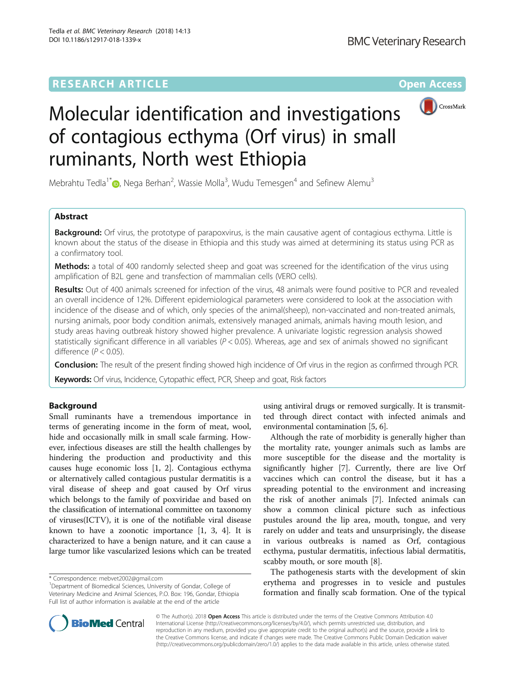# **RESEARCH ARTICLE External Structure Community Community Community Community Community Community Community Community**



# Molecular identification and investigations of contagious ecthyma (Orf virus) in small ruminants, North west Ethiopia

Mebrahtu Tedla<sup>1\*</sup> <sub>(b</sub>, Nega Berhan<sup>2</sup>, Wassie Molla<sup>3</sup>, Wudu Temesgen<sup>4</sup> and Sefinew Alemu<sup>3</sup>

# Abstract

**Background:** Orf virus, the prototype of parapoxvirus, is the main causative agent of contagious ecthyma. Little is known about the status of the disease in Ethiopia and this study was aimed at determining its status using PCR as a confirmatory tool.

**Methods:** a total of 400 randomly selected sheep and goat was screened for the identification of the virus using amplification of B2L gene and transfection of mammalian cells (VERO cells).

Results: Out of 400 animals screened for infection of the virus, 48 animals were found positive to PCR and revealed an overall incidence of 12%. Different epidemiological parameters were considered to look at the association with incidence of the disease and of which, only species of the animal(sheep), non-vaccinated and non-treated animals, nursing animals, poor body condition animals, extensively managed animals, animals having mouth lesion, and study areas having outbreak history showed higher prevalence. A univariate logistic regression analysis showed statistically significant difference in all variables ( $P < 0.05$ ). Whereas, age and sex of animals showed no significant difference ( $P < 0.05$ ).

**Conclusion:** The result of the present finding showed high incidence of Orf virus in the region as confirmed through PCR.

Keywords: Orf virus, Incidence, Cytopathic effect, PCR, Sheep and goat, Risk factors

# Background

Small ruminants have a tremendous importance in terms of generating income in the form of meat, wool, hide and occasionally milk in small scale farming. However, infectious diseases are still the health challenges by hindering the production and productivity and this causes huge economic loss [[1, 2](#page-6-0)]. Contagious ecthyma or alternatively called contagious pustular dermatitis is a viral disease of sheep and goat caused by Orf virus which belongs to the family of poxviridae and based on the classification of international committee on taxonomy of viruses(ICTV), it is one of the notifiable viral disease known to have a zoonotic importance  $[1, 3, 4]$  $[1, 3, 4]$  $[1, 3, 4]$  $[1, 3, 4]$  $[1, 3, 4]$  $[1, 3, 4]$ . It is characterized to have a benign nature, and it can cause a large tumor like vascularized lesions which can be treated using antiviral drugs or removed surgically. It is transmitted through direct contact with infected animals and environmental contamination [\[5](#page-6-0), [6\]](#page-6-0).

Although the rate of morbidity is generally higher than the mortality rate, younger animals such as lambs are more susceptible for the disease and the mortality is significantly higher [[7\]](#page-7-0). Currently, there are live Orf vaccines which can control the disease, but it has a spreading potential to the environment and increasing the risk of another animals [\[7](#page-7-0)]. Infected animals can show a common clinical picture such as infectious pustules around the lip area, mouth, tongue, and very rarely on udder and teats and unsurprisingly, the disease in various outbreaks is named as Orf, contagious ecthyma, pustular dermatitis, infectious labial dermatitis, scabby mouth, or sore mouth [[8\]](#page-7-0).

The pathogenesis starts with the development of skin erythema and progresses in to vesicle and pustules formation and finally scab formation. One of the typical



© The Author(s). 2018 Open Access This article is distributed under the terms of the Creative Commons Attribution 4.0 International License [\(http://creativecommons.org/licenses/by/4.0/](http://creativecommons.org/licenses/by/4.0/)), which permits unrestricted use, distribution, and reproduction in any medium, provided you give appropriate credit to the original author(s) and the source, provide a link to the Creative Commons license, and indicate if changes were made. The Creative Commons Public Domain Dedication waiver [\(http://creativecommons.org/publicdomain/zero/1.0/](http://creativecommons.org/publicdomain/zero/1.0/)) applies to the data made available in this article, unless otherwise stated.

<sup>\*</sup> Correspondence: [mebvet2002@gmail.com](mailto:mebvet2002@gmail.com) <sup>1</sup>

<sup>&</sup>lt;sup>1</sup>Department of Biomedical Sciences, University of Gondar, College of Veterinary Medicine and Animal Sciences, P.O. Box: 196, Gondar, Ethiopia Full list of author information is available at the end of the article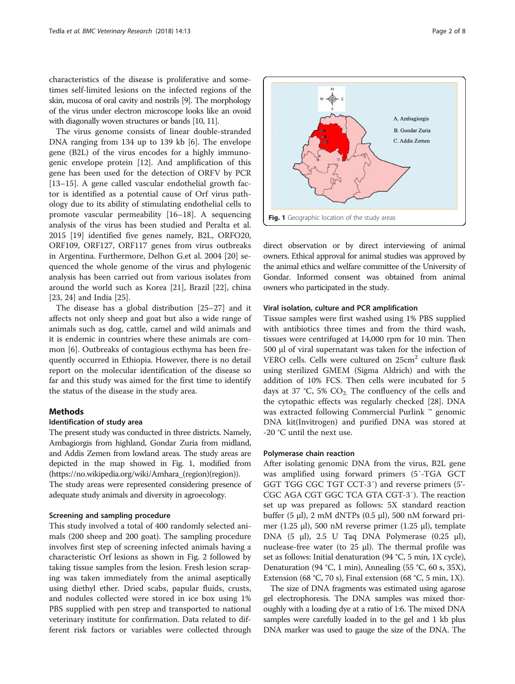characteristics of the disease is proliferative and sometimes self-limited lesions on the infected regions of the skin, mucosa of oral cavity and nostrils [\[9\]](#page-7-0). The morphology of the virus under electron microscope looks like an ovoid with diagonally woven structures or bands [\[10, 11\]](#page-7-0).

The virus genome consists of linear double-stranded DNA ranging from 134 up to 139 kb [[6\]](#page-6-0). The envelope gene (B2L) of the virus encodes for a highly immunogenic envelope protein [[12\]](#page-7-0). And amplification of this gene has been used for the detection of ORFV by PCR [[13](#page-7-0)–[15](#page-7-0)]. A gene called vascular endothelial growth factor is identified as a potential cause of Orf virus pathology due to its ability of stimulating endothelial cells to promote vascular permeability [[16](#page-7-0)–[18](#page-7-0)]. A sequencing analysis of the virus has been studied and Peralta et al. 2015 [\[19](#page-7-0)] identified five genes namely, B2L, ORFO20, ORF109, ORF127, ORF117 genes from virus outbreaks in Argentina. Furthermore, Delhon G.et al. 2004 [[20](#page-7-0)] sequenced the whole genome of the virus and phylogenic analysis has been carried out from various isolates from around the world such as Korea [[21\]](#page-7-0), Brazil [\[22](#page-7-0)], china [[23, 24\]](#page-7-0) and India [[25](#page-7-0)].

The disease has a global distribution [\[25](#page-7-0)–[27](#page-7-0)] and it affects not only sheep and goat but also a wide range of animals such as dog, cattle, camel and wild animals and it is endemic in countries where these animals are common [[6\]](#page-6-0). Outbreaks of contagious ecthyma has been frequently occurred in Ethiopia. However, there is no detail report on the molecular identification of the disease so far and this study was aimed for the first time to identify the status of the disease in the study area.

# Methods

### Identification of study area

The present study was conducted in three districts. Namely, Ambagiorgis from highland, Gondar Zuria from midland, and Addis Zemen from lowland areas. The study areas are depicted in the map showed in Fig. 1, modified from ([https://no.wikipedia.org/wiki/Amhara\\_\(region\)](https://no.wikipedia.org/wiki/Amhara_)(region)). The study areas were represented considering presence of adequate study animals and diversity in agroecology.

# Screening and sampling procedure

This study involved a total of 400 randomly selected animals (200 sheep and 200 goat). The sampling procedure involves first step of screening infected animals having a characteristic Orf lesions as shown in Fig. [2](#page-2-0) followed by taking tissue samples from the lesion. Fresh lesion scraping was taken immediately from the animal aseptically using diethyl ether. Dried scabs, papular fluids, crusts, and nodules collected were stored in ice box using 1% PBS supplied with pen strep and transported to national veterinary institute for confirmation. Data related to different risk factors or variables were collected through



direct observation or by direct interviewing of animal owners. Ethical approval for animal studies was approved by the animal ethics and welfare committee of the University of Gondar. Informed consent was obtained from animal owners who participated in the study.

## Viral isolation, culture and PCR amplification

Tissue samples were first washed using 1% PBS supplied with antibiotics three times and from the third wash, tissues were centrifuged at 14,000 rpm for 10 min. Then 500 μl of viral supernatant was taken for the infection of VERO cells. Cells were cultured on 25cm<sup>2</sup> culture flask using sterilized GMEM (Sigma Aldrich) and with the addition of 10% FCS. Then cells were incubated for 5 days at 37 °C, 5%  $CO<sub>2</sub>$ . The confluency of the cells and the cytopathic effects was regularly checked [[28\]](#page-7-0). DNA was extracted following Commercial Purlink ™ genomic DNA kit(Invitrogen) and purified DNA was stored at -20 °C until the next use.

## Polymerase chain reaction

After isolating genomic DNA from the virus, B2L gene was amplified using forward primers (5′-TGA GCT GGT TGG CGC TGT CCT-3′) and reverse primers (5'- CGC AGA CGT GGC TCA GTA CGT-3′). The reaction set up was prepared as follows: 5X standard reaction buffer (5 μl), 2 mM dNTPs (0.5 μl), 500 nM forward primer (1.25 μl), 500 nM reverse primer (1.25 μl), template DNA (5 μl), 2.5 U Taq DNA Polymerase (0.25 μl), nuclease-free water (to  $25 \mu$ ). The thermal profile was set as follows: Initial denaturation (94 °C, 5 min, 1X cycle), Denaturation (94 °C, 1 min), Annealing (55 °C, 60 s, 35X), Extension (68 °C, 70 s), Final extension (68 °C, 5 min, 1X).

The size of DNA fragments was estimated using agarose gel electrophoresis. The DNA samples was mixed thoroughly with a loading dye at a ratio of 1:6. The mixed DNA samples were carefully loaded in to the gel and 1 kb plus DNA marker was used to gauge the size of the DNA. The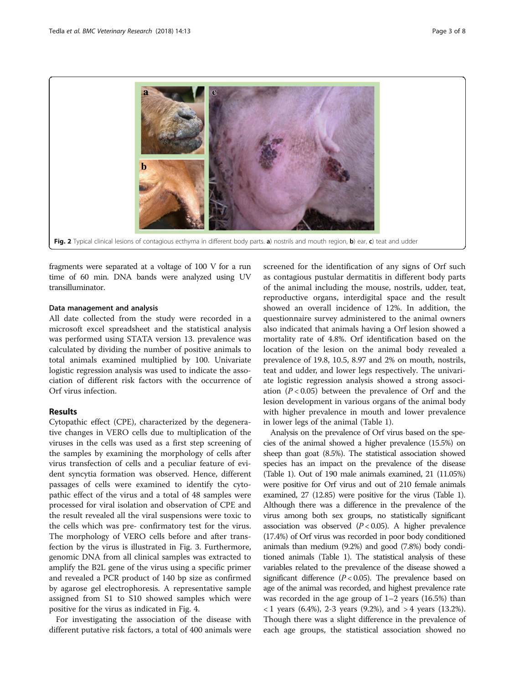<span id="page-2-0"></span>

fragments were separated at a voltage of 100 V for a run time of 60 min. DNA bands were analyzed using UV transilluminator.

## Data management and analysis

All date collected from the study were recorded in a microsoft excel spreadsheet and the statistical analysis was performed using STATA version 13. prevalence was calculated by dividing the number of positive animals to total animals examined multiplied by 100. Univariate logistic regression analysis was used to indicate the association of different risk factors with the occurrence of Orf virus infection.

# Results

Cytopathic effect (CPE), characterized by the degenerative changes in VERO cells due to multiplication of the viruses in the cells was used as a first step screening of the samples by examining the morphology of cells after virus transfection of cells and a peculiar feature of evident syncytia formation was observed. Hence, different passages of cells were examined to identify the cytopathic effect of the virus and a total of 48 samples were processed for viral isolation and observation of CPE and the result revealed all the viral suspensions were toxic to the cells which was pre- confirmatory test for the virus. The morphology of VERO cells before and after transfection by the virus is illustrated in Fig. [3.](#page-3-0) Furthermore, genomic DNA from all clinical samples was extracted to amplify the B2L gene of the virus using a specific primer and revealed a PCR product of 140 bp size as confirmed by agarose gel electrophoresis. A representative sample assigned from S1 to S10 showed samples which were positive for the virus as indicated in Fig. [4](#page-3-0).

For investigating the association of the disease with different putative risk factors, a total of 400 animals were

screened for the identification of any signs of Orf such as contagious pustular dermatitis in different body parts of the animal including the mouse, nostrils, udder, teat, reproductive organs, interdigital space and the result showed an overall incidence of 12%. In addition, the questionnaire survey administered to the animal owners also indicated that animals having a Orf lesion showed a mortality rate of 4.8%. Orf identification based on the location of the lesion on the animal body revealed a prevalence of 19.8, 10.5, 8.97 and 2% on mouth, nostrils, teat and udder, and lower legs respectively. The univariate logistic regression analysis showed a strong association  $(P < 0.05)$  between the prevalence of Orf and the lesion development in various organs of the animal body with higher prevalence in mouth and lower prevalence in lower legs of the animal (Table [1\)](#page-4-0).

Analysis on the prevalence of Orf virus based on the species of the animal showed a higher prevalence (15.5%) on sheep than goat (8.5%). The statistical association showed species has an impact on the prevalence of the disease (Table [1](#page-4-0)). Out of 190 male animals examined, 21 (11.05%) were positive for Orf virus and out of 210 female animals examined, 27 (12.85) were positive for the virus (Table [1\)](#page-4-0). Although there was a difference in the prevalence of the virus among both sex groups, no statistically significant association was observed  $(P < 0.05)$ . A higher prevalence (17.4%) of Orf virus was recorded in poor body conditioned animals than medium (9.2%) and good (7.8%) body conditioned animals (Table [1\)](#page-4-0). The statistical analysis of these variables related to the prevalence of the disease showed a significant difference  $(P < 0.05)$ . The prevalence based on age of the animal was recorded, and highest prevalence rate was recorded in the age group of 1–2 years (16.5%) than < 1 years (6.4%), 2-3 years (9.2%), and > 4 years (13.2%). Though there was a slight difference in the prevalence of each age groups, the statistical association showed no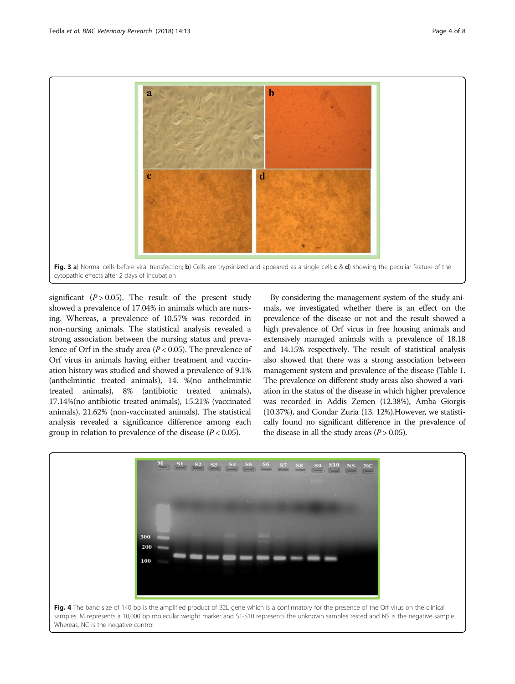<span id="page-3-0"></span>

significant ( $P > 0.05$ ). The result of the present study showed a prevalence of 17.04% in animals which are nursing. Whereas, a prevalence of 10.57% was recorded in non-nursing animals. The statistical analysis revealed a strong association between the nursing status and prevalence of Orf in the study area  $(P < 0.05)$ . The prevalence of Orf virus in animals having either treatment and vaccination history was studied and showed a prevalence of 9.1% (anthelmintic treated animals), 14. %(no anthelmintic treated animals), 8% (antibiotic treated animals), 17.14%(no antibiotic treated animals), 15.21% (vaccinated animals), 21.62% (non-vaccinated animals). The statistical analysis revealed a significance difference among each group in relation to prevalence of the disease  $(P < 0.05)$ .

By considering the management system of the study animals, we investigated whether there is an effect on the prevalence of the disease or not and the result showed a high prevalence of Orf virus in free housing animals and extensively managed animals with a prevalence of 18.18 and 14.15% respectively. The result of statistical analysis also showed that there was a strong association between management system and prevalence of the disease (Table [1](#page-4-0). The prevalence on different study areas also showed a variation in the status of the disease in which higher prevalence was recorded in Addis Zemen (12.38%), Amba Giorgis (10.37%), and Gondar Zuria (13. 12%).However, we statistically found no significant difference in the prevalence of the disease in all the study areas  $(P > 0.05)$ .

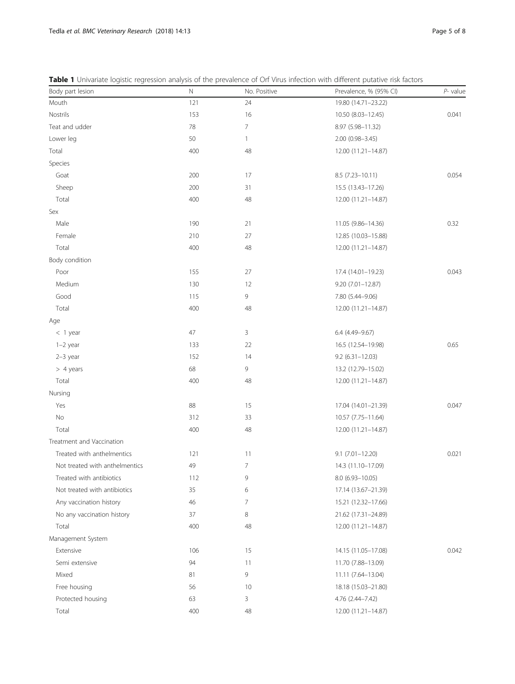<span id="page-4-0"></span>Table 1 Univariate logistic regression analysis of the prevalence of Orf Virus infection with different putative risk factors

| Body part lesion               | $\mathbb N$ | No. Positive             | Prevalence, % (95% CI) | $P-$ value |
|--------------------------------|-------------|--------------------------|------------------------|------------|
| Mouth                          | 121         | 24                       | 19.80 (14.71-23.22)    |            |
| Nostrils                       | 153         | 16                       | 10.50 (8.03-12.45)     | 0.041      |
| Teat and udder                 | 78          | $\overline{\mathcal{I}}$ | 8.97 (5.98-11.32)      |            |
| Lower leg                      | 50          | $\mathbf{1}$             | 2.00 (0.98-3.45)       |            |
| Total                          | 400         | 48                       | 12.00 (11.21-14.87)    |            |
| Species                        |             |                          |                        |            |
| Goat                           | 200         | 17                       | 8.5 (7.23-10.11)       | 0.054      |
| Sheep                          | 200         | 31                       | 15.5 (13.43-17.26)     |            |
| Total                          | 400         | 48                       | 12.00 (11.21-14.87)    |            |
| Sex                            |             |                          |                        |            |
| Male                           | 190         | 21                       | 11.05 (9.86-14.36)     | 0.32       |
| Female                         | 210         | 27                       | 12.85 (10.03-15.88)    |            |
| Total                          | 400         | 48                       | 12.00 (11.21-14.87)    |            |
| Body condition                 |             |                          |                        |            |
| Poor                           | 155         | 27                       | 17.4 (14.01-19.23)     | 0.043      |
| Medium                         | 130         | 12                       | 9.20 (7.01-12.87)      |            |
| Good                           | 115         | 9                        | 7.80 (5.44-9.06)       |            |
| Total                          | 400         | 48                       | 12.00 (11.21-14.87)    |            |
| Age                            |             |                          |                        |            |
| $< 1$ year                     | 47          | 3                        | 6.4 (4.49-9.67)        |            |
| $1-2$ year                     | 133         | 22                       | 16.5 (12.54-19.98)     | 0.65       |
| $2-3$ year                     | 152         | 14                       | $9.2$ (6.31-12.03)     |            |
| $> 4$ years                    | 68          | 9                        | 13.2 (12.79-15.02)     |            |
| Total                          | 400         | 48                       | 12.00 (11.21-14.87)    |            |
| Nursing                        |             |                          |                        |            |
| Yes                            | 88          | 15                       | 17.04 (14.01-21.39)    | 0.047      |
| No                             | 312         | 33                       | 10.57 (7.75-11.64)     |            |
| Total                          | 400         | 48                       | 12.00 (11.21-14.87)    |            |
| Treatment and Vaccination      |             |                          |                        |            |
| Treated with anthelmentics     | 121         | 11                       | $9.1(7.01 - 12.20)$    | 0.021      |
| Not treated with anthelmentics | 49          | $\overline{7}$           | 14.3 (11.10-17.09)     |            |
| Treated with antibiotics       | 112         | 9                        | 8.0 (6.93-10.05)       |            |
| Not treated with antibiotics   | 35          | 6                        | 17.14 (13.67-21.39)    |            |
| Any vaccination history        | 46          | $\overline{7}$           | 15.21 (12.32-17.66)    |            |
| No any vaccination history     | 37          | $\,8\,$                  | 21.62 (17.31-24.89)    |            |
| Total                          | 400         | 48                       | 12.00 (11.21-14.87)    |            |
| Management System              |             |                          |                        |            |
| Extensive                      | 106         | 15                       | 14.15 (11.05-17.08)    | 0.042      |
| Semi extensive                 | 94          | 11                       | 11.70 (7.88-13.09)     |            |
| Mixed                          | 81          | 9                        | 11.11 (7.64-13.04)     |            |
| Free housing                   | 56          | 10                       | 18.18 (15.03-21.80)    |            |
| Protected housing              | 63          | 3                        | 4.76 (2.44-7.42)       |            |
| Total                          | 400         | 48                       | 12.00 (11.21-14.87)    |            |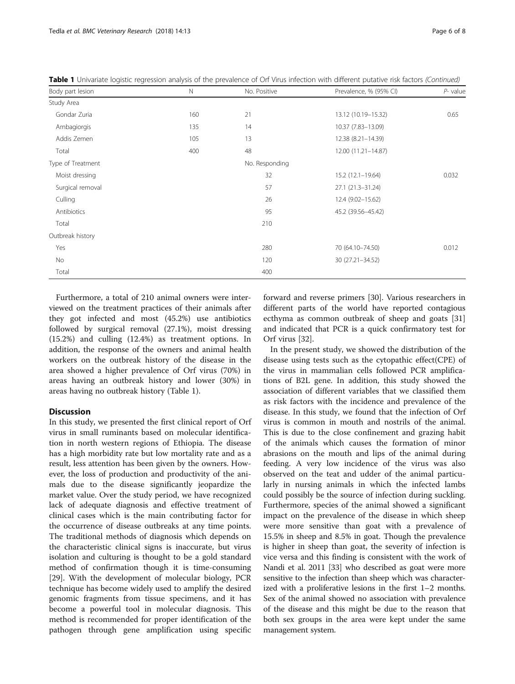| Body part lesion  | $\mathbb N$ | No. Positive   | Prevalence, % (95% CI) | $P$ - value |
|-------------------|-------------|----------------|------------------------|-------------|
| Study Area        |             |                |                        |             |
| Gondar Zuria      | 160         | 21             | 13.12 (10.19-15.32)    | 0.65        |
| Ambagiorgis       | 135         | 14             | 10.37 (7.83-13.09)     |             |
| Addis Zemen       | 105         | 13             | 12.38 (8.21-14.39)     |             |
| Total             | 400         | 48             | 12.00 (11.21-14.87)    |             |
| Type of Treatment |             | No. Responding |                        |             |
| Moist dressing    |             | 32             | $15.2(12.1 - 19.64)$   | 0.032       |
| Surgical removal  |             | 57             | 27.1 (21.3-31.24)      |             |
| Culling           |             | 26             | 12.4 (9.02-15.62)      |             |
| Antibiotics       |             | 95             | 45.2 (39.56-45.42)     |             |
| Total             |             | 210            |                        |             |
| Outbreak history  |             |                |                        |             |
| Yes               |             | 280            | 70 (64.10-74.50)       | 0.012       |
| No                |             | 120            | 30 (27.21-34.52)       |             |
| Total             |             | 400            |                        |             |

Table 1 Univariate logistic regression analysis of the prevalence of Orf Virus infection with different putative risk factors (Continued)

Furthermore, a total of 210 animal owners were interviewed on the treatment practices of their animals after they got infected and most (45.2%) use antibiotics followed by surgical removal (27.1%), moist dressing (15.2%) and culling (12.4%) as treatment options. In addition, the response of the owners and animal health workers on the outbreak history of the disease in the area showed a higher prevalence of Orf virus (70%) in areas having an outbreak history and lower (30%) in areas having no outbreak history (Table [1\)](#page-4-0).

# **Discussion**

In this study, we presented the first clinical report of Orf virus in small ruminants based on molecular identification in north western regions of Ethiopia. The disease has a high morbidity rate but low mortality rate and as a result, less attention has been given by the owners. However, the loss of production and productivity of the animals due to the disease significantly jeopardize the market value. Over the study period, we have recognized lack of adequate diagnosis and effective treatment of clinical cases which is the main contributing factor for the occurrence of disease outbreaks at any time points. The traditional methods of diagnosis which depends on the characteristic clinical signs is inaccurate, but virus isolation and culturing is thought to be a gold standard method of confirmation though it is time-consuming [[29\]](#page-7-0). With the development of molecular biology, PCR technique has become widely used to amplify the desired genomic fragments from tissue specimens, and it has become a powerful tool in molecular diagnosis. This method is recommended for proper identification of the pathogen through gene amplification using specific forward and reverse primers [[30](#page-7-0)]. Various researchers in different parts of the world have reported contagious ecthyma as common outbreak of sheep and goats [[31](#page-7-0)] and indicated that PCR is a quick confirmatory test for Orf virus [\[32\]](#page-7-0).

In the present study, we showed the distribution of the disease using tests such as the cytopathic effect(CPE) of the virus in mammalian cells followed PCR amplifications of B2L gene. In addition, this study showed the association of different variables that we classified them as risk factors with the incidence and prevalence of the disease. In this study, we found that the infection of Orf virus is common in mouth and nostrils of the animal. This is due to the close confinement and grazing habit of the animals which causes the formation of minor abrasions on the mouth and lips of the animal during feeding. A very low incidence of the virus was also observed on the teat and udder of the animal particularly in nursing animals in which the infected lambs could possibly be the source of infection during suckling. Furthermore, species of the animal showed a significant impact on the prevalence of the disease in which sheep were more sensitive than goat with a prevalence of 15.5% in sheep and 8.5% in goat. Though the prevalence is higher in sheep than goat, the severity of infection is vice versa and this finding is consistent with the work of Nandi et al. 2011 [\[33\]](#page-7-0) who described as goat were more sensitive to the infection than sheep which was characterized with a proliferative lesions in the first 1–2 months. Sex of the animal showed no association with prevalence of the disease and this might be due to the reason that both sex groups in the area were kept under the same management system.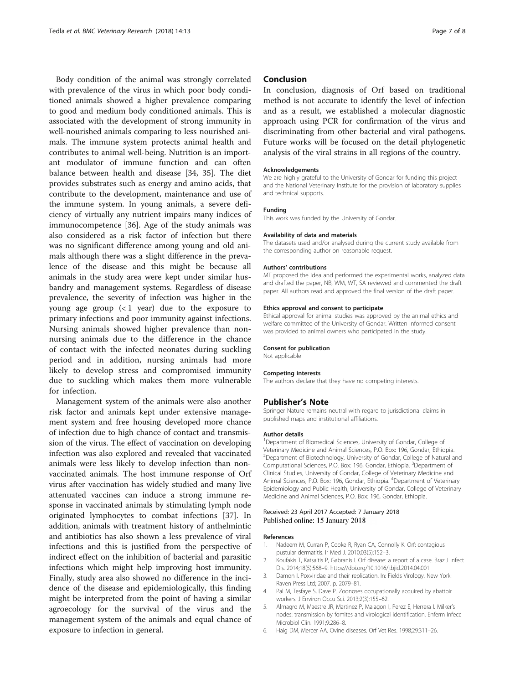<span id="page-6-0"></span>Body condition of the animal was strongly correlated with prevalence of the virus in which poor body conditioned animals showed a higher prevalence comparing to good and medium body conditioned animals. This is associated with the development of strong immunity in well-nourished animals comparing to less nourished animals. The immune system protects animal health and contributes to animal well-being. Nutrition is an important modulator of immune function and can often balance between health and disease [\[34](#page-7-0), [35](#page-7-0)]. The diet provides substrates such as energy and amino acids, that contribute to the development, maintenance and use of the immune system. In young animals, a severe deficiency of virtually any nutrient impairs many indices of immunocompetence [[36](#page-7-0)]. Age of the study animals was also considered as a risk factor of infection but there was no significant difference among young and old animals although there was a slight difference in the prevalence of the disease and this might be because all animals in the study area were kept under similar husbandry and management systems. Regardless of disease prevalence, the severity of infection was higher in the young age group  $\left( < 1 \right)$  year) due to the exposure to primary infections and poor immunity against infections. Nursing animals showed higher prevalence than nonnursing animals due to the difference in the chance of contact with the infected neonates during suckling period and in addition, nursing animals had more likely to develop stress and compromised immunity due to suckling which makes them more vulnerable for infection.

Management system of the animals were also another risk factor and animals kept under extensive management system and free housing developed more chance of infection due to high chance of contact and transmission of the virus. The effect of vaccination on developing infection was also explored and revealed that vaccinated animals were less likely to develop infection than nonvaccinated animals. The host immune response of Orf virus after vaccination has widely studied and many live attenuated vaccines can induce a strong immune response in vaccinated animals by stimulating lymph node originated lymphocytes to combat infections [[37](#page-7-0)]. In addition, animals with treatment history of anthelmintic and antibiotics has also shown a less prevalence of viral infections and this is justified from the perspective of indirect effect on the inhibition of bacterial and parasitic infections which might help improving host immunity. Finally, study area also showed no difference in the incidence of the disease and epidemiologically, this finding might be interpreted from the point of having a similar agroecology for the survival of the virus and the management system of the animals and equal chance of exposure to infection in general.

# Conclusion

In conclusion, diagnosis of Orf based on traditional method is not accurate to identify the level of infection and as a result, we established a molecular diagnostic approach using PCR for confirmation of the virus and discriminating from other bacterial and viral pathogens. Future works will be focused on the detail phylogenetic analysis of the viral strains in all regions of the country.

#### Acknowledgements

We are highly grateful to the University of Gondar for funding this project and the National Veterinary Institute for the provision of laboratory supplies and technical supports.

#### Funding

This work was funded by the University of Gondar.

#### Availability of data and materials

The datasets used and/or analysed during the current study available from the corresponding author on reasonable request.

#### Authors' contributions

MT proposed the idea and performed the experimental works, analyzed data and drafted the paper, NB, WM, WT, SA reviewed and commented the draft paper. All authors read and approved the final version of the draft paper.

#### Ethics approval and consent to participate

Ethical approval for animal studies was approved by the animal ethics and welfare committee of the University of Gondar. Written informed consent was provided to animal owners who participated in the study.

#### Consent for publication

Not applicable

#### Competing interests

The authors declare that they have no competing interests.

#### Publisher's Note

Springer Nature remains neutral with regard to jurisdictional claims in published maps and institutional affiliations.

#### Author details

<sup>1</sup>Department of Biomedical Sciences, University of Gondar, College of Veterinary Medicine and Animal Sciences, P.O. Box: 196, Gondar, Ethiopia. <sup>2</sup> Department of Biotechnology, University of Gondar, College of Natural and Computational Sciences, P.O. Box: 196, Gondar, Ethiopia. <sup>3</sup>Department of Clinical Studies, University of Gondar, College of Veterinary Medicine and Animal Sciences, P.O. Box: 196, Gondar, Ethiopia. <sup>4</sup> Department of Veterinary Epidemiology and Public Health, University of Gondar, College of Veterinary Medicine and Animal Sciences, P.O. Box: 196, Gondar, Ethiopia.

#### Received: 23 April 2017 Accepted: 7 January 2018 Published online: 15 January 2018

#### References

- 1. Nadeem M, Curran P, Cooke R, Ryan CA, Connolly K. Orf: contagious pustular dermatitis. Ir Med J. 2010;03(5):152–3.
- 2. Koufakis T, Katsaitis P, Gabranis I. Orf disease: a report of a case. Braz J Infect Dis. 2014;18(5):568–9. [https://doi.org/10.1016/j.bjid.2014.04.001](http://dx.doi.org/10.1016/j.bjid.2014.04.001)
- 3. Damon I. Poxviridae and their replication. In: Fields Virology. New York: Raven Press Ltd; 2007. p. 2079–81.
- 4. Pal M, Tesfaye S, Dave P. Zoonoses occupationally acquired by abattoir workers. J Environ Occu Sci. 2013;2(3):155–62.
- 5. Almagro M, Maestre JR, Martinez P, Malagon I, Perez E, Herrera I. Milker's nodes: transmission by fomites and virological identification. Enferm Infecc Microbiol Clin. 1991;9:286–8.
- 6. Haig DM, Mercer AA. Ovine diseases. Orf Vet Res. 1998;29:311–26.